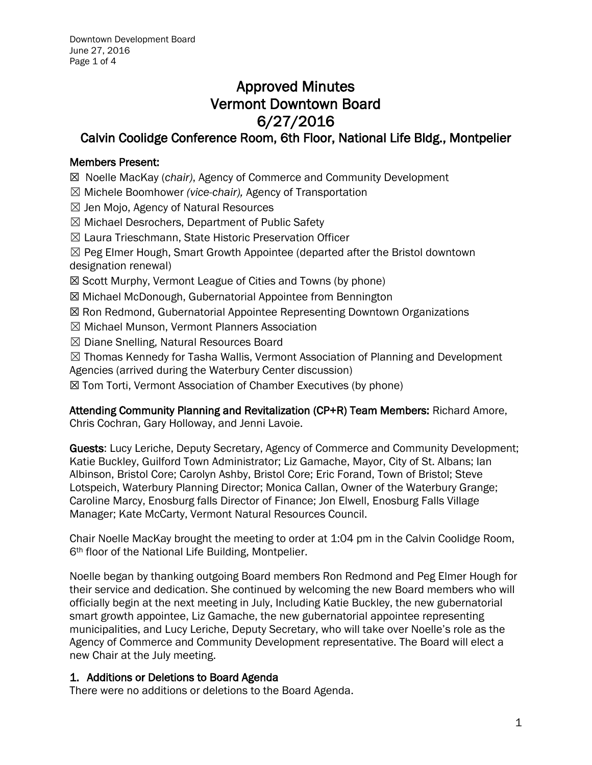# Approved Minutes Vermont Downtown Board 6/27/2016

# Calvin Coolidge Conference Room, 6th Floor, National Life Bldg., Montpelier

# Members Present:

☒ Noelle MacKay (*chair)*, Agency of Commerce and Community Development

- ☒ Michele Boomhower *(vice-chair),* Agency of Transportation
- $\boxtimes$  Jen Mojo, Agency of Natural Resources
- ☒ Michael Desrochers, Department of Public Safety
- ☒ Laura Trieschmann, State Historic Preservation Officer

 $\boxtimes$  Peg Elmer Hough, Smart Growth Appointee (departed after the Bristol downtown designation renewal)

- ☒ Scott Murphy, Vermont League of Cities and Towns (by phone)
- ☒ Michael McDonough, Gubernatorial Appointee from Bennington
- ☒ Ron Redmond, Gubernatorial Appointee Representing Downtown Organizations
- ☒ Michael Munson, Vermont Planners Association
- ☒ Diane Snelling, Natural Resources Board

 $\boxtimes$  Thomas Kennedy for Tasha Wallis, Vermont Association of Planning and Development Agencies (arrived during the Waterbury Center discussion)

☒ Tom Torti, Vermont Association of Chamber Executives (by phone)

# Attending Community Planning and Revitalization (CP+R) Team Members: Richard Amore,

Chris Cochran, Gary Holloway, and Jenni Lavoie.

Guests: Lucy Leriche, Deputy Secretary, Agency of Commerce and Community Development; Katie Buckley, Guilford Town Administrator; Liz Gamache, Mayor, City of St. Albans; Ian Albinson, Bristol Core; Carolyn Ashby, Bristol Core; Eric Forand, Town of Bristol; Steve Lotspeich, Waterbury Planning Director; Monica Callan, Owner of the Waterbury Grange; Caroline Marcy, Enosburg falls Director of Finance; Jon Elwell, Enosburg Falls Village Manager; Kate McCarty, Vermont Natural Resources Council.

Chair Noelle MacKay brought the meeting to order at 1:04 pm in the Calvin Coolidge Room, 6<sup>th</sup> floor of the National Life Building, Montpelier.

Noelle began by thanking outgoing Board members Ron Redmond and Peg Elmer Hough for their service and dedication. She continued by welcoming the new Board members who will officially begin at the next meeting in July, Including Katie Buckley, the new gubernatorial smart growth appointee, Liz Gamache, the new gubernatorial appointee representing municipalities, and Lucy Leriche, Deputy Secretary, who will take over Noelle's role as the Agency of Commerce and Community Development representative. The Board will elect a new Chair at the July meeting.

# 1. Additions or Deletions to Board Agenda

There were no additions or deletions to the Board Agenda.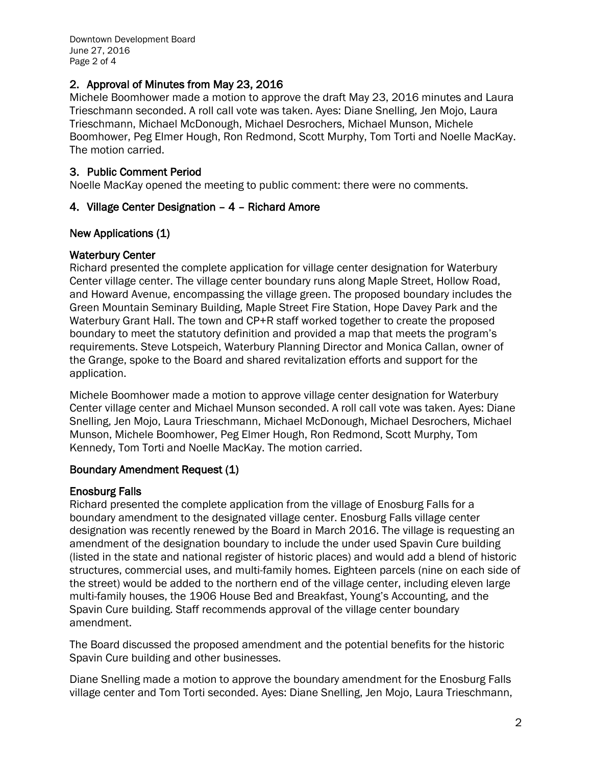# 2. Approval of Minutes from May 23, 2016

Michele Boomhower made a motion to approve the draft May 23, 2016 minutes and Laura Trieschmann seconded. A roll call vote was taken. Ayes: Diane Snelling, Jen Mojo, Laura Trieschmann, Michael McDonough, Michael Desrochers, Michael Munson, Michele Boomhower, Peg Elmer Hough, Ron Redmond, Scott Murphy, Tom Torti and Noelle MacKay. The motion carried.

# 3. Public Comment Period

Noelle MacKay opened the meeting to public comment: there were no comments.

# 4. Village Center Designation – 4 – Richard Amore

#### New Applications (1)

#### Waterbury Center

Richard presented the complete application for village center designation for Waterbury Center village center. The village center boundary runs along Maple Street, Hollow Road, and Howard Avenue, encompassing the village green. The proposed boundary includes the Green Mountain Seminary Building, Maple Street Fire Station, Hope Davey Park and the Waterbury Grant Hall. The town and CP+R staff worked together to create the proposed boundary to meet the statutory definition and provided a map that meets the program's requirements. Steve Lotspeich, Waterbury Planning Director and Monica Callan, owner of the Grange, spoke to the Board and shared revitalization efforts and support for the application.

Michele Boomhower made a motion to approve village center designation for Waterbury Center village center and Michael Munson seconded. A roll call vote was taken. Ayes: Diane Snelling, Jen Mojo, Laura Trieschmann, Michael McDonough, Michael Desrochers, Michael Munson, Michele Boomhower, Peg Elmer Hough, Ron Redmond, Scott Murphy, Tom Kennedy, Tom Torti and Noelle MacKay. The motion carried.

#### Boundary Amendment Request (1)

# Enosburg Falls

Richard presented the complete application from the village of Enosburg Falls for a boundary amendment to the designated village center. Enosburg Falls village center designation was recently renewed by the Board in March 2016. The village is requesting an amendment of the designation boundary to include the under used Spavin Cure building (listed in the state and national register of historic places) and would add a blend of historic structures, commercial uses, and multi-family homes. Eighteen parcels (nine on each side of the street) would be added to the northern end of the village center, including eleven large multi-family houses, the 1906 House Bed and Breakfast, Young's Accounting, and the Spavin Cure building. Staff recommends approval of the village center boundary amendment.

The Board discussed the proposed amendment and the potential benefits for the historic Spavin Cure building and other businesses.

Diane Snelling made a motion to approve the boundary amendment for the Enosburg Falls village center and Tom Torti seconded. Ayes: Diane Snelling, Jen Mojo, Laura Trieschmann,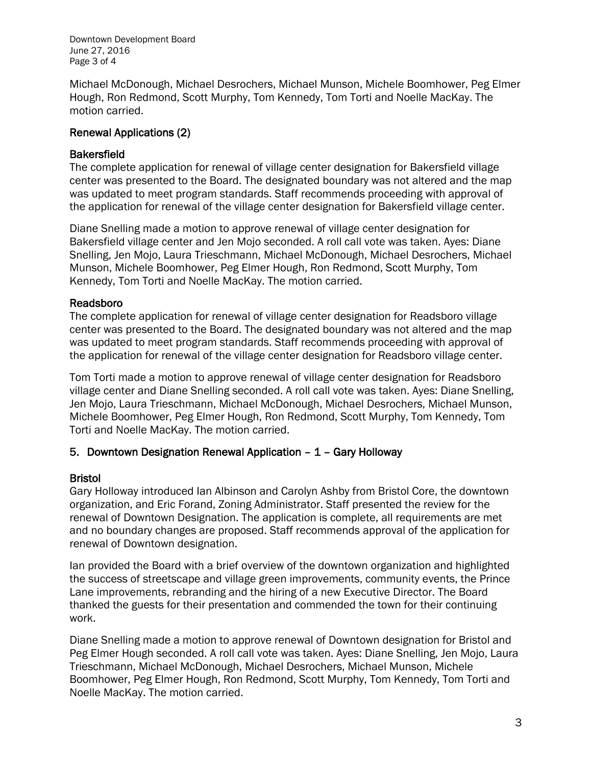Downtown Development Board June 27, 2016 Page 3 of 4

Michael McDonough, Michael Desrochers, Michael Munson, Michele Boomhower, Peg Elmer Hough, Ron Redmond, Scott Murphy, Tom Kennedy, Tom Torti and Noelle MacKay. The motion carried.

#### Renewal Applications (2)

# **Bakersfield**

The complete application for renewal of village center designation for Bakersfield village center was presented to the Board. The designated boundary was not altered and the map was updated to meet program standards. Staff recommends proceeding with approval of the application for renewal of the village center designation for Bakersfield village center.

Diane Snelling made a motion to approve renewal of village center designation for Bakersfield village center and Jen Mojo seconded. A roll call vote was taken. Ayes: Diane Snelling, Jen Mojo, Laura Trieschmann, Michael McDonough, Michael Desrochers, Michael Munson, Michele Boomhower, Peg Elmer Hough, Ron Redmond, Scott Murphy, Tom Kennedy, Tom Torti and Noelle MacKay. The motion carried.

# Readsboro

The complete application for renewal of village center designation for Readsboro village center was presented to the Board. The designated boundary was not altered and the map was updated to meet program standards. Staff recommends proceeding with approval of the application for renewal of the village center designation for Readsboro village center.

Tom Torti made a motion to approve renewal of village center designation for Readsboro village center and Diane Snelling seconded. A roll call vote was taken. Ayes: Diane Snelling, Jen Mojo, Laura Trieschmann, Michael McDonough, Michael Desrochers, Michael Munson, Michele Boomhower, Peg Elmer Hough, Ron Redmond, Scott Murphy, Tom Kennedy, Tom Torti and Noelle MacKay. The motion carried.

# 5. Downtown Designation Renewal Application – 1 – Gary Holloway

# Bristol

Gary Holloway introduced Ian Albinson and Carolyn Ashby from Bristol Core, the downtown organization, and Eric Forand, Zoning Administrator. Staff presented the review for the renewal of Downtown Designation. The application is complete, all requirements are met and no boundary changes are proposed. Staff recommends approval of the application for renewal of Downtown designation.

Ian provided the Board with a brief overview of the downtown organization and highlighted the success of streetscape and village green improvements, community events, the Prince Lane improvements, rebranding and the hiring of a new Executive Director. The Board thanked the guests for their presentation and commended the town for their continuing work.

Diane Snelling made a motion to approve renewal of Downtown designation for Bristol and Peg Elmer Hough seconded. A roll call vote was taken. Ayes: Diane Snelling, Jen Mojo, Laura Trieschmann, Michael McDonough, Michael Desrochers, Michael Munson, Michele Boomhower, Peg Elmer Hough, Ron Redmond, Scott Murphy, Tom Kennedy, Tom Torti and Noelle MacKay. The motion carried.